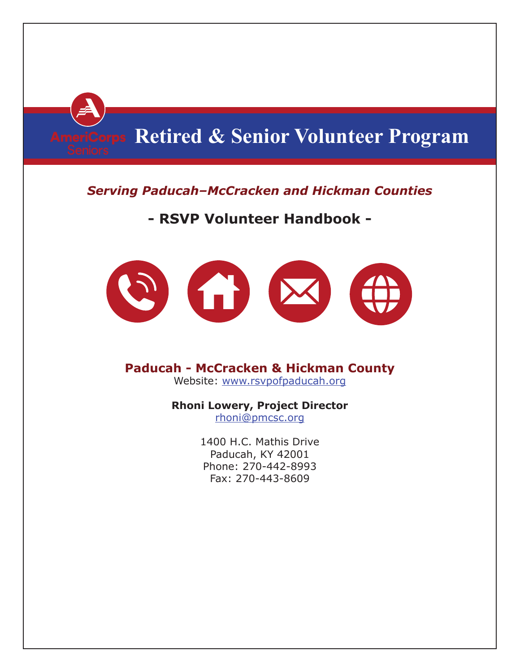

## *Serving Paducah–McCracken and Hickman Counties*

# **- RSVP Volunteer Handbook -**



# **Paducah - McCracken & Hickman County**

Website: www.rsvpofpaducah.org

## **Rhoni Lowery, Project Director**

rhoni@pmcsc.org

1400 H.C. Mathis Drive Paducah, KY 42001 Phone: 270-442-8993 Fax: 270-443-8609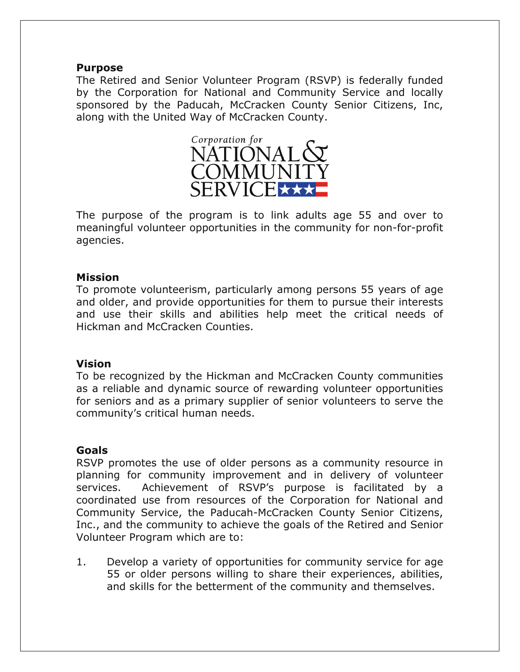#### **Purpose**

The Retired and Senior Volunteer Program (RSVP) is federally funded by the Corporation for National and Community Service and locally sponsored by the Paducah, McCracken County Senior Citizens, Inc, along with the United Way of McCracken County.



The purpose of the program is to link adults age 55 and over to meaningful volunteer opportunities in the community for non-for-profit agencies.

## **Mission**

To promote volunteerism, particularly among persons 55 years of age and older, and provide opportunities for them to pursue their interests and use their skills and abilities help meet the critical needs of Hickman and McCracken Counties.

## **Vision**

To be recognized by the Hickman and McCracken County communities as a reliable and dynamic source of rewarding volunteer opportunities for seniors and as a primary supplier of senior volunteers to serve the community's critical human needs.

## **Goals**

RSVP promotes the use of older persons as a community resource in planning for community improvement and in delivery of volunteer services. Achievement of RSVP's purpose is facilitated by a coordinated use from resources of the Corporation for National and Community Service, the Paducah-McCracken County Senior Citizens, Inc., and the community to achieve the goals of the Retired and Senior Volunteer Program which are to:

1. Develop a variety of opportunities for community service for age 55 or older persons willing to share their experiences, abilities, and skills for the betterment of the community and themselves.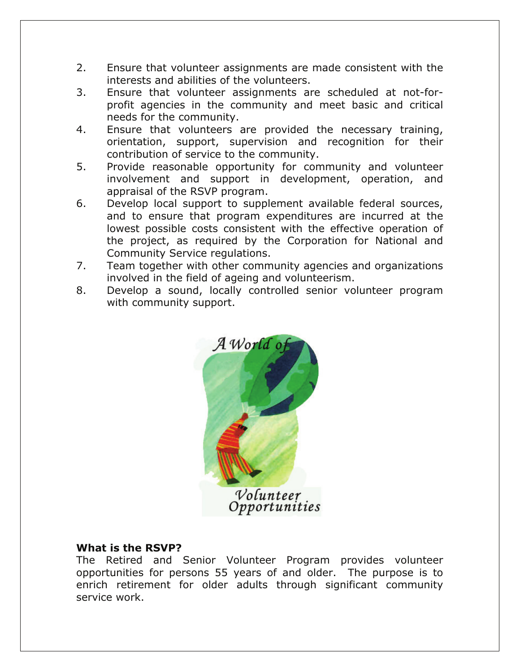- 2. Ensure that volunteer assignments are made consistent with the interests and abilities of the volunteers.
- 3. Ensure that volunteer assignments are scheduled at not-forprofit agencies in the community and meet basic and critical needs for the community.
- 4. Ensure that volunteers are provided the necessary training, orientation, support, supervision and recognition for their contribution of service to the community.
- 5. Provide reasonable opportunity for community and volunteer involvement and support in development, operation, and appraisal of the RSVP program.
- 6. Develop local support to supplement available federal sources, and to ensure that program expenditures are incurred at the lowest possible costs consistent with the effective operation of the project, as required by the Corporation for National and Community Service regulations.
- 7. Team together with other community agencies and organizations involved in the field of ageing and volunteerism.
- 8. Develop a sound, locally controlled senior volunteer program with community support.



## **What is the RSVP?**

The Retired and Senior Volunteer Program provides volunteer opportunities for persons 55 years of and older. The purpose is to enrich retirement for older adults through significant community service work.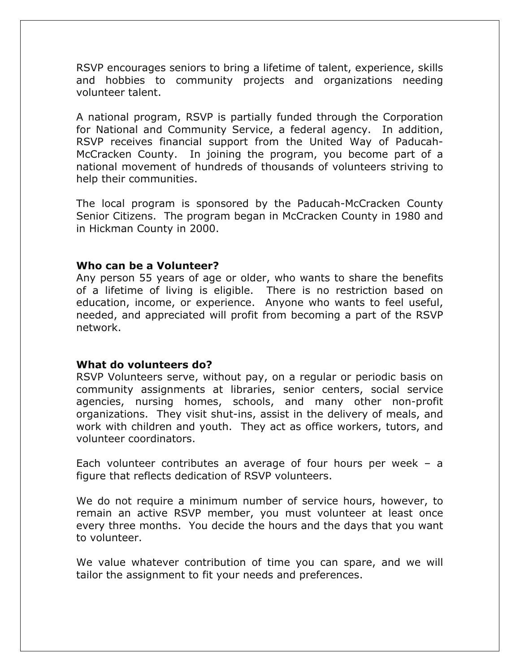RSVP encourages seniors to bring a lifetime of talent, experience, skills and hobbies to community projects and organizations needing volunteer talent.

A national program, RSVP is partially funded through the Corporation for National and Community Service, a federal agency. In addition, RSVP receives financial support from the United Way of Paducah-McCracken County. In joining the program, you become part of a national movement of hundreds of thousands of volunteers striving to help their communities.

The local program is sponsored by the Paducah-McCracken County Senior Citizens. The program began in McCracken County in 1980 and in Hickman County in 2000.

#### **Who can be a Volunteer?**

Any person 55 years of age or older, who wants to share the benefits of a lifetime of living is eligible. There is no restriction based on education, income, or experience. Anyone who wants to feel useful, needed, and appreciated will profit from becoming a part of the RSVP network.

#### **What do volunteers do?**

RSVP Volunteers serve, without pay, on a regular or periodic basis on community assignments at libraries, senior centers, social service agencies, nursing homes, schools, and many other non-profit organizations. They visit shut-ins, assist in the delivery of meals, and work with children and youth. They act as office workers, tutors, and volunteer coordinators.

Each volunteer contributes an average of four hours per week – a figure that reflects dedication of RSVP volunteers.

We do not require a minimum number of service hours, however, to remain an active RSVP member, you must volunteer at least once every three months. You decide the hours and the days that you want to volunteer.

We value whatever contribution of time you can spare, and we will tailor the assignment to fit your needs and preferences.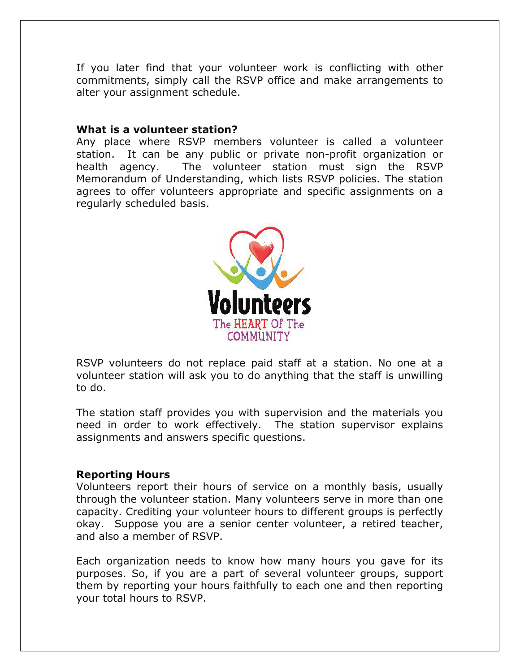If you later find that your volunteer work is conflicting with other commitments, simply call the RSVP office and make arrangements to alter your assignment schedule.

#### **What is a volunteer station?**

Any place where RSVP members volunteer is called a volunteer station. It can be any public or private non-profit organization or health agency. The volunteer station must sign the RSVP Memorandum of Understanding, which lists RSVP policies. The station agrees to offer volunteers appropriate and specific assignments on a regularly scheduled basis.



RSVP volunteers do not replace paid staff at a station. No one at a volunteer station will ask you to do anything that the staff is unwilling to do.

The station staff provides you with supervision and the materials you need in order to work effectively. The station supervisor explains assignments and answers specific questions.

#### **Reporting Hours**

Volunteers report their hours of service on a monthly basis, usually through the volunteer station. Many volunteers serve in more than one capacity. Crediting your volunteer hours to different groups is perfectly okay. Suppose you are a senior center volunteer, a retired teacher, and also a member of RSVP.

Each organization needs to know how many hours you gave for its purposes. So, if you are a part of several volunteer groups, support them by reporting your hours faithfully to each one and then reporting your total hours to RSVP.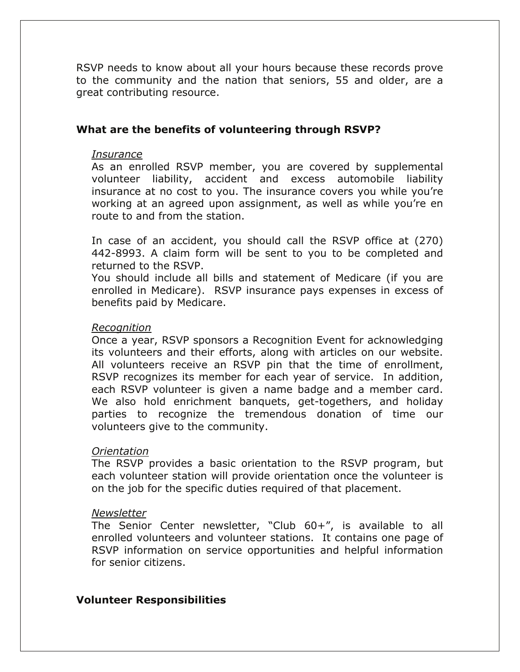RSVP needs to know about all your hours because these records prove to the community and the nation that seniors, 55 and older, are a great contributing resource.

## **What are the benefits of volunteering through RSVP?**

#### *Insurance*

As an enrolled RSVP member, you are covered by supplemental volunteer liability, accident and excess automobile liability insurance at no cost to you. The insurance covers you while you're working at an agreed upon assignment, as well as while you're en route to and from the station.

In case of an accident, you should call the RSVP office at (270) 442-8993. A claim form will be sent to you to be completed and returned to the RSVP.

You should include all bills and statement of Medicare (if you are enrolled in Medicare). RSVP insurance pays expenses in excess of benefits paid by Medicare.

#### *Recognition*

Once a year, RSVP sponsors a Recognition Event for acknowledging its volunteers and their efforts, along with articles on our website. All volunteers receive an RSVP pin that the time of enrollment, RSVP recognizes its member for each year of service. In addition, each RSVP volunteer is given a name badge and a member card. We also hold enrichment banquets, get-togethers, and holiday parties to recognize the tremendous donation of time our volunteers give to the community.

#### *Orientation*

The RSVP provides a basic orientation to the RSVP program, but each volunteer station will provide orientation once the volunteer is on the job for the specific duties required of that placement.

#### *Newsletter*

The Senior Center newsletter, "Club 60+", is available to all enrolled volunteers and volunteer stations. It contains one page of RSVP information on service opportunities and helpful information for senior citizens.

## **Volunteer Responsibilities**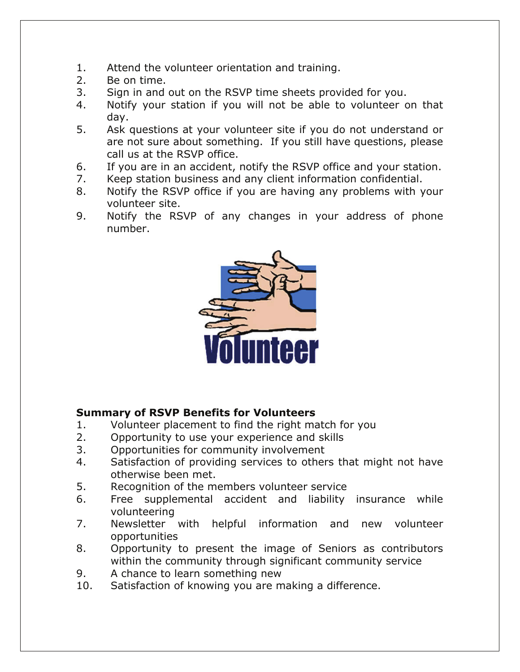- 1. Attend the volunteer orientation and training.
- 2. Be on time.
- 3. Sign in and out on the RSVP time sheets provided for you.
- 4. Notify your station if you will not be able to volunteer on that day.
- 5. Ask questions at your volunteer site if you do not understand or are not sure about something. If you still have questions, please call us at the RSVP office.
- 6. If you are in an accident, notify the RSVP office and your station.
- 7. Keep station business and any client information confidential.
- 8. Notify the RSVP office if you are having any problems with your volunteer site.
- 9. Notify the RSVP of any changes in your address of phone number.



## **Summary of RSVP Benefits for Volunteers**

- 1. Volunteer placement to find the right match for you
- 2. Opportunity to use your experience and skills
- 3. Opportunities for community involvement
- 4. Satisfaction of providing services to others that might not have otherwise been met.
- 5. Recognition of the members volunteer service
- 6. Free supplemental accident and liability insurance while volunteering
- 7. Newsletter with helpful information and new volunteer opportunities
- 8. Opportunity to present the image of Seniors as contributors within the community through significant community service
- 9. A chance to learn something new
- 10. Satisfaction of knowing you are making a difference.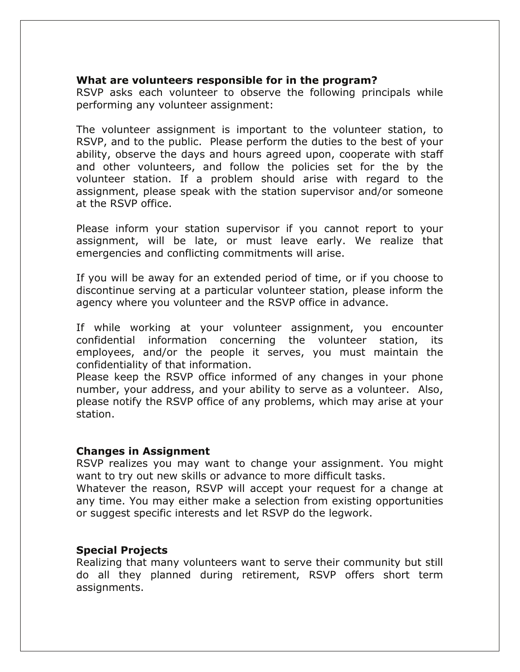## **What are volunteers responsible for in the program?**

RSVP asks each volunteer to observe the following principals while performing any volunteer assignment:

The volunteer assignment is important to the volunteer station, to RSVP, and to the public. Please perform the duties to the best of your ability, observe the days and hours agreed upon, cooperate with staff and other volunteers, and follow the policies set for the by the volunteer station. If a problem should arise with regard to the assignment, please speak with the station supervisor and/or someone at the RSVP office.

Please inform your station supervisor if you cannot report to your assignment, will be late, or must leave early. We realize that emergencies and conflicting commitments will arise.

If you will be away for an extended period of time, or if you choose to discontinue serving at a particular volunteer station, please inform the agency where you volunteer and the RSVP office in advance.

If while working at your volunteer assignment, you encounter confidential information concerning the volunteer station, its employees, and/or the people it serves, you must maintain the confidentiality of that information.

Please keep the RSVP office informed of any changes in your phone number, your address, and your ability to serve as a volunteer. Also, please notify the RSVP office of any problems, which may arise at your station.

#### **Changes in Assignment**

RSVP realizes you may want to change your assignment. You might want to try out new skills or advance to more difficult tasks.

Whatever the reason, RSVP will accept your request for a change at any time. You may either make a selection from existing opportunities or suggest specific interests and let RSVP do the legwork.

## **Special Projects**

Realizing that many volunteers want to serve their community but still do all they planned during retirement, RSVP offers short term assignments.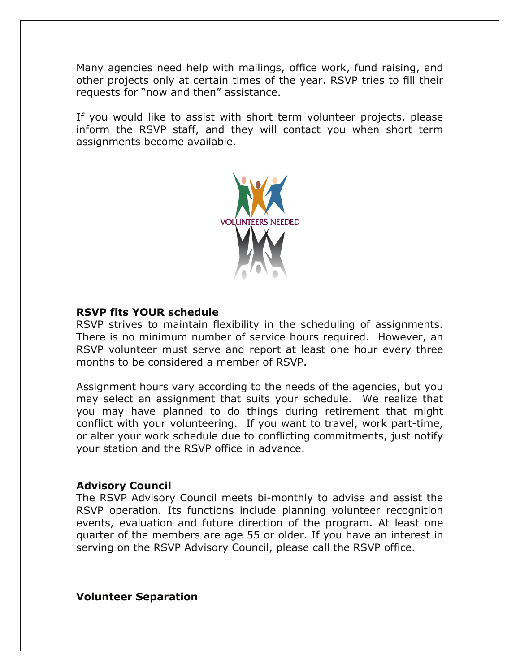Many agencies need help with mailings, office work, fund raising, and other projects only at certain times of the year. RSVP tries to fill their requests for "now and then" assistance.

If you would like to assist with short term volunteer projects, please inform the RSVP staff, and they will contact you when short term assignments become available.



#### **RSVP fits YOUR schedule**

RSVP strives to maintain flexibility in the scheduling of assignments. There is no minimum number of service hours required. However, an RSVP volunteer must serve and report at least one hour every three months to be considered a member of RSVP.

Assignment hours vary according to the needs of the agencies, but you may select an assignment that suits your schedule. We realize that you may have planned to do things during retirement that might conflict with your volunteering. If you want to travel, work part-time, or alter your work schedule due to conflicting commitments, just notify your station and the RSVP office in advance.

#### **Advisory Council**

The RSVP Advisory Council meets bi-monthly to advise and assist the RSVP operation. Its functions include planning volunteer recognition events, evaluation and future direction of the program. At least one quarter of the members are age 55 or older. If you have an interest in serving on the RSVP Advisory Council, please call the RSVP office.

**Volunteer Separation**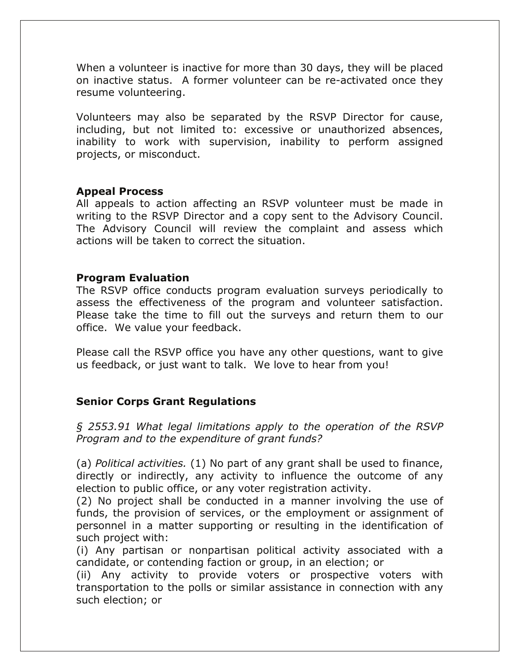When a volunteer is inactive for more than 30 days, they will be placed on inactive status. A former volunteer can be re-activated once they resume volunteering.

Volunteers may also be separated by the RSVP Director for cause, including, but not limited to: excessive or unauthorized absences, inability to work with supervision, inability to perform assigned projects, or misconduct.

## **Appeal Process**

All appeals to action affecting an RSVP volunteer must be made in writing to the RSVP Director and a copy sent to the Advisory Council. The Advisory Council will review the complaint and assess which actions will be taken to correct the situation.

#### **Program Evaluation**

The RSVP office conducts program evaluation surveys periodically to assess the effectiveness of the program and volunteer satisfaction. Please take the time to fill out the surveys and return them to our office. We value your feedback.

Please call the RSVP office you have any other questions, want to give us feedback, or just want to talk. We love to hear from you!

## **Senior Corps Grant Regulations**

*§ 2553.91 What legal limitations apply to the operation of the RSVP Program and to the expenditure of grant funds?*

(a) *Political activities.* (1) No part of any grant shall be used to finance, directly or indirectly, any activity to influence the outcome of any election to public office, or any voter registration activity.

(2) No project shall be conducted in a manner involving the use of funds, the provision of services, or the employment or assignment of personnel in a matter supporting or resulting in the identification of such project with:

(i) Any partisan or nonpartisan political activity associated with a candidate, or contending faction or group, in an election; or

(ii) Any activity to provide voters or prospective voters with transportation to the polls or similar assistance in connection with any such election; or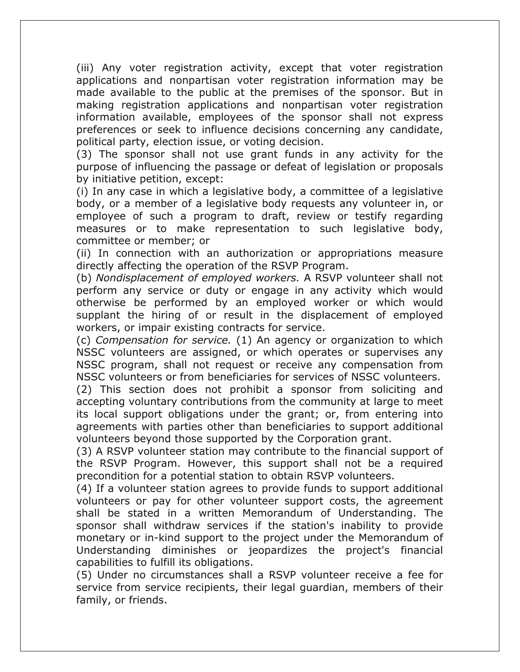(iii) Any voter registration activity, except that voter registration applications and nonpartisan voter registration information may be made available to the public at the premises of the sponsor. But in making registration applications and nonpartisan voter registration information available, employees of the sponsor shall not express preferences or seek to influence decisions concerning any candidate, political party, election issue, or voting decision.

(3) The sponsor shall not use grant funds in any activity for the purpose of influencing the passage or defeat of legislation or proposals by initiative petition, except:

(i) In any case in which a legislative body, a committee of a legislative body, or a member of a legislative body requests any volunteer in, or employee of such a program to draft, review or testify regarding measures or to make representation to such legislative body, committee or member; or

(ii) In connection with an authorization or appropriations measure directly affecting the operation of the RSVP Program.

(b) *Nondisplacement of employed workers.* A RSVP volunteer shall not perform any service or duty or engage in any activity which would otherwise be performed by an employed worker or which would supplant the hiring of or result in the displacement of employed workers, or impair existing contracts for service.

(c) *Compensation for service.* (1) An agency or organization to which NSSC volunteers are assigned, or which operates or supervises any NSSC program, shall not request or receive any compensation from NSSC volunteers or from beneficiaries for services of NSSC volunteers.

(2) This section does not prohibit a sponsor from soliciting and accepting voluntary contributions from the community at large to meet its local support obligations under the grant; or, from entering into agreements with parties other than beneficiaries to support additional volunteers beyond those supported by the Corporation grant.

(3) A RSVP volunteer station may contribute to the financial support of the RSVP Program. However, this support shall not be a required precondition for a potential station to obtain RSVP volunteers.

(4) If a volunteer station agrees to provide funds to support additional volunteers or pay for other volunteer support costs, the agreement shall be stated in a written Memorandum of Understanding. The sponsor shall withdraw services if the station's inability to provide monetary or in-kind support to the project under the Memorandum of Understanding diminishes or jeopardizes the project's financial capabilities to fulfill its obligations.

(5) Under no circumstances shall a RSVP volunteer receive a fee for service from service recipients, their legal guardian, members of their family, or friends.